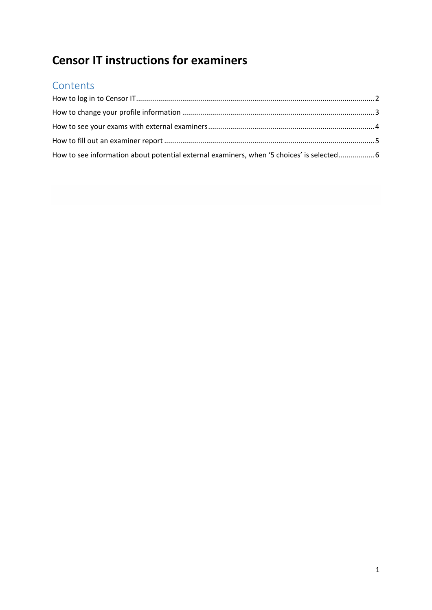# **Censor IT instructions for examiners**

#### **Contents**

| How to see information about potential external examiners, when '5 choices' is selected 6 |  |
|-------------------------------------------------------------------------------------------|--|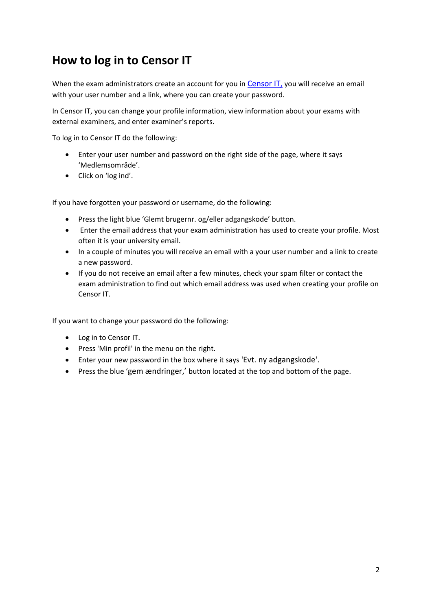## <span id="page-1-0"></span>**How to log in to Censor IT**

When the exam administrators create an account for you in [Censor IT,](https://censor-it.censorerne.dk/) you will receive an email with your user number and a link, where you can create your password.

In Censor IT, you can change your profile information, view information about your exams with external examiners, and enter examiner's reports.

To log in to Censor IT do the following:

- Enter your user number and password on the right side of the page, where it says 'Medlemsområde'.
- Click on 'log ind'.

If you have forgotten your password or username, do the following:

- Press the light blue 'Glemt brugernr. og/eller adgangskode' button.
- Enter the email address that your exam administration has used to create your profile. Most often it is your university email.
- In a couple of minutes you will receive an email with a your user number and a link to create a new password.
- If you do not receive an email after a few minutes, check your spam filter or contact the exam administration to find out which email address was used when creating your profile on Censor IT.

If you want to change your password do the following:

- Log in to Censor IT.
- Press 'Min profil' in the menu on the right.
- Enter your new password in the box where it says 'Evt. ny adgangskode'.
- Press the blue 'gem ændringer,' button located at the top and bottom of the page.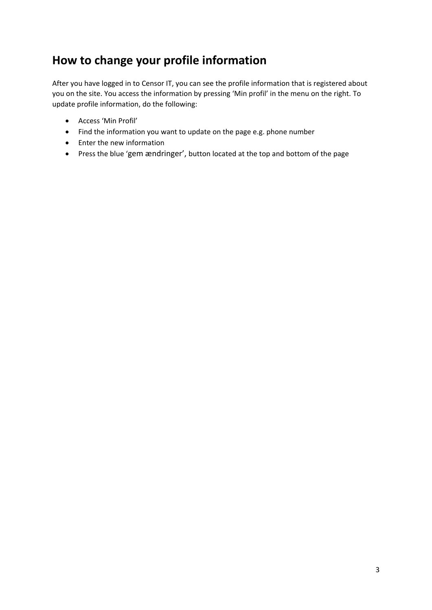# <span id="page-2-0"></span>**How to change your profile information**

After you have logged in to Censor IT, you can see the profile information that is registered about you on the site. You access the information by pressing 'Min profil' in the menu on the right. To update profile information, do the following:

- Access 'Min Profil'
- Find the information you want to update on the page e.g. phone number
- Enter the new information
- Press the blue 'gem ændringer', button located at the top and bottom of the page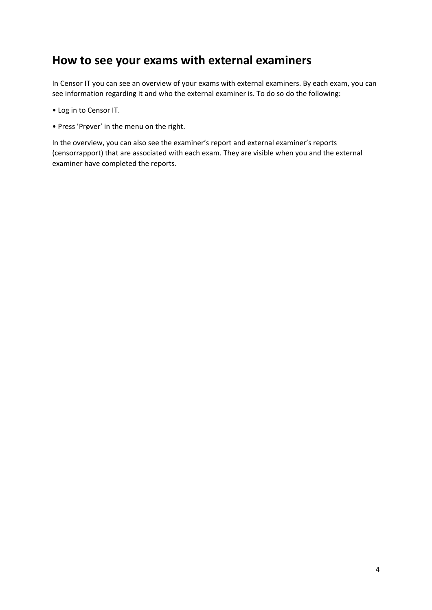#### <span id="page-3-0"></span>**How to see your exams with external examiners**

In Censor IT you can see an overview of your exams with external examiners. By each exam, you can see information regarding it and who the external examiner is. To do so do the following:

- Log in to Censor IT.
- Press 'Prøver' in the menu on the right.

In the overview, you can also see the examiner's report and external examiner's reports (censorrapport) that are associated with each exam. They are visible when you and the external examiner have completed the reports.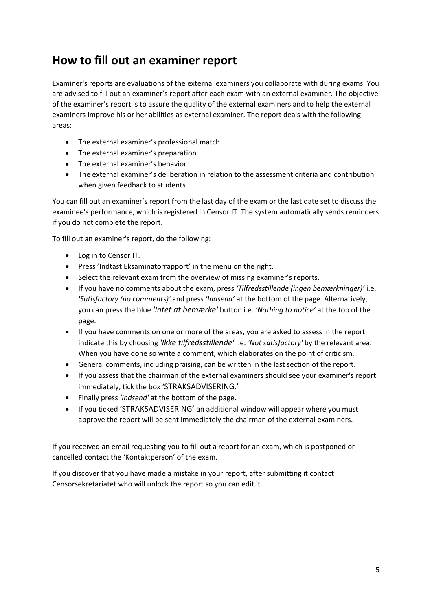### <span id="page-4-0"></span>**How to fill out an examiner report**

Examiner's reports are evaluations of the external examiners you collaborate with during exams. You are advised to fill out an examiner's report after each exam with an external examiner. The objective of the examiner's report is to assure the quality of the external examiners and to help the external examiners improve his or her abilities as external examiner. The report deals with the following areas:

- The external examiner's professional match
- The external examiner's preparation
- The external examiner's behavior
- The external examiner's deliberation in relation to the assessment criteria and contribution when given feedback to students

You can fill out an examiner's report from the last day of the exam or the last date set to discuss the examinee's performance, which is registered in Censor IT. The system automatically sends reminders if you do not complete the report.

To fill out an examiner's report, do the following:

- Log in to Censor IT.
- Press 'Indtast Eksaminatorrapport' in the menu on the right.
- Select the relevant exam from the overview of missing examiner's reports.
- If you have no comments about the exam, press *'Tilfredsstillende (ingen bemærkninger)'* i.e. *'Satisfactory (no comments)'* and press *'Indsend'* at the bottom of the page. Alternatively, you can press the blue *'Intet at bemærke'* button i.e. *'Nothing to notice'* at the top of the page.
- If you have comments on one or more of the areas, you are asked to assess in the report indicate this by choosing *'Ikke tilfredsstillende'* i.e. *'Not satisfactory'* by the relevant area. When you have done so write a comment, which elaborates on the point of criticism.
- General comments, including praising, can be written in the last section of the report.
- If you assess that the chairman of the external examiners should see your examiner's report immediately, tick the box 'STRAKSADVISERING.'
- Finally press *'Indsend'* at the bottom of the page.
- If you ticked 'STRAKSADVISERING' an additional window will appear where you must approve the report will be sent immediately the chairman of the external examiners.

If you received an email requesting you to fill out a report for an exam, which is postponed or cancelled contact the 'Kontaktperson' of the exam.

If you discover that you have made a mistake in your report, after submitting it contact Censorsekretariatet who will unlock the report so you can edit it.